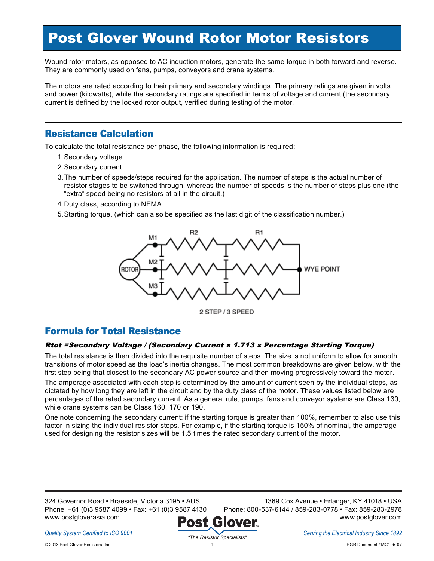## Post Glover Wound Rotor Motor Resistors

Wound rotor motors, as opposed to AC induction motors, generate the same torque in both forward and reverse. They are commonly used on fans, pumps, conveyors and crane systems.

The motors are rated according to their primary and secondary windings. The primary ratings are given in volts and power (kilowatts), while the secondary ratings are specified in terms of voltage and current (the secondary current is defined by the locked rotor output, verified during testing of the motor.

### Resistance Calculation

To calculate the total resistance per phase, the following information is required:

- 1.Secondary voltage
- 2.Secondary current
- 3.The number of speeds/steps required for the application. The number of steps is the actual number of resistor stages to be switched through, whereas the number of speeds is the number of steps plus one (the "extra" speed being no resistors at all in the circuit.)
- 4.Duty class, according to NEMA
- 5.Starting torque, (which can also be specified as the last digit of the classification number.)



2 STEP / 3 SPEED

## Formula for Total Resistance

### Rtot =Secondary Voltage / (Secondary Current <sup>x</sup> 1.713 <sup>x</sup> Percentage Starting Torque)

The total resistance is then divided into the requisite number of steps. The size is not uniform to allow for smooth transitions of motor speed as the load's inertia changes. The most common breakdowns are given below, with the first step being that closest to the secondary AC power source and then moving progressively toward the motor.

The amperage associated with each step is determined by the amount of current seen by the individual steps, as dictated by how long they are left in the circuit and by the duty class of the motor. These values listed below are percentages of the rated secondary current. As a general rule, pumps, fans and conveyor systems are Class 130, while crane systems can be Class 160, 170 or 190.

One note concerning the secondary current: if the starting torque is greater than 100%, remember to also use this factor in sizing the individual resistor steps. For example, if the starting torque is 150% of nominal, the amperage used for designing the resistor sizes will be 1.5 times the rated secondary current of the motor.

324 Governor Road • Braeside, Victoria 3195 • AUS Phone: +61 (0)3 9587 4099 • Fax: +61 (0)3 9587 4130 www.postgloverasia.com

1369 Cox Avenue • Erlanger, KY 41018 • USA Phone: 800-537-6144 / 859-283-0778 • Fax: 859-283-2978 www.postglover.com



*Serving the Electrical Industry Since 1892*

1 PGR Document #MC105-07

*Quality System Certified to ISO 9001*